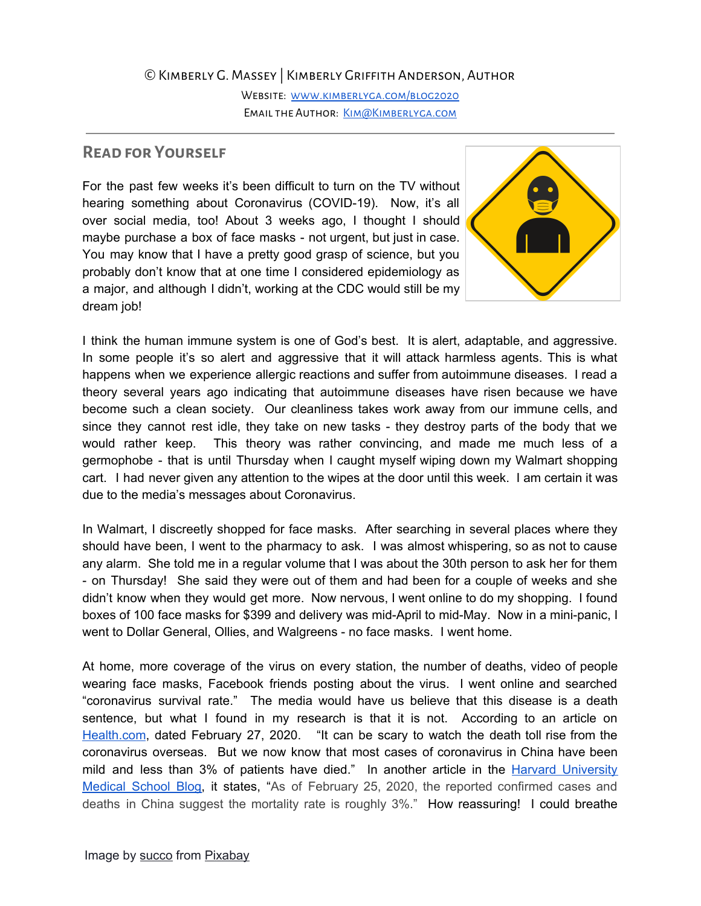## ©Kimberly G. Massey | Kimberly Griffith Anderson, Author

WEBSITE: WWW.KIMBERLYGA.COM/BLOG2020 EMAIL THE AUTHOR: KIM@KIMBERLYGA.COM

## **Read for Yourself**

For the past few weeks it's been difficult to turn on the TV without hearing something about Coronavirus (COVID-19). Now, it's all over social media, too! About 3 weeks ago, I thought I should maybe purchase a box of face masks - not urgent, but just in case. You may know that I have a pretty good grasp of science, but you probably don't know that at one time I considered epidemiology as a major, and although I didn't, working at the CDC would still be my dream job!



I think the human immune system is one of God's best. It is alert, adaptable, and aggressive. In some people it's so alert and aggressive that it will attack harmless agents. This is what happens when we experience allergic reactions and suffer from autoimmune diseases. I read a theory several years ago indicating that autoimmune diseases have risen because we have become such a clean society. Our cleanliness takes work away from our immune cells, and since they cannot rest idle, they take on new tasks - they destroy parts of the body that we would rather keep. This theory was rather convincing, and made me much less of a germophobe - that is until Thursday when I caught myself wiping down my Walmart shopping cart. I had never given any attention to the wipes at the door until this week. I am certain it was due to the media's messages about Coronavirus.

In Walmart, I discreetly shopped for face masks. After searching in several places where they should have been, I went to the pharmacy to ask. I was almost whispering, so as not to cause any alarm. She told me in a regular volume that I was about the 30th person to ask her for them - on Thursday! She said they were out of them and had been for a couple of weeks and she didn't know when they would get more. Now nervous, I went online to do my shopping. I found boxes of 100 face masks for \$399 and delivery was mid-April to mid-May. Now in a mini-panic, I went to Dollar General, Ollies, and Walgreens - no face masks. I went home.

At home, more coverage of the virus on every station, the number of deaths, video of people wearing face masks, Facebook friends posting about the virus. I went online and searched "coronavirus survival rate." The media would have us believe that this disease is a death sentence, but what I found in my research is that it is not. According to an article on [Health.com,](https://www.health.com/condition/infectious-diseases/coronavirus-survival-rate) dated February 27, 2020. "It can be scary to watch the death toll rise from the coronavirus overseas. But we now know that most cases of coronavirus in China have been mild and less than 3% of patients have died." In another article in the Harvard [University](https://www.health.harvard.edu/blog/as-coronavirus-spreads-many-questions-and-some-answers-2020022719004#q6) [Medical](https://www.health.harvard.edu/blog/as-coronavirus-spreads-many-questions-and-some-answers-2020022719004#q6) School Blog, it states, "As of February 25, 2020, the reported confirmed cases and deaths in China suggest the mortality rate is roughly 3%." How reassuring! I could breathe